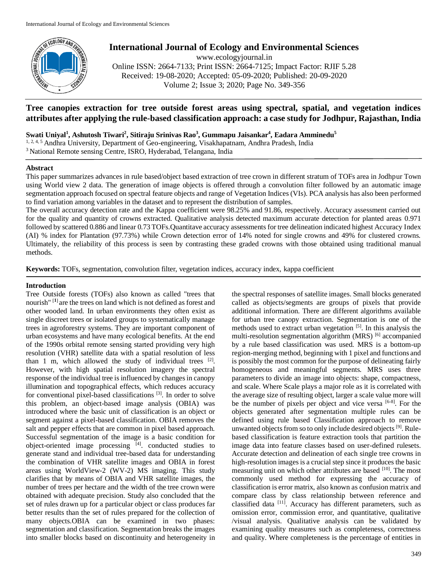

# **International Journal of Ecology and Environmental Sciences**

www.ecologyjournal.in Online ISSN: 2664-7133; Print ISSN: 2664-7125; Impact Factor: RJIF 5.28 Received: 19-08-2020; Accepted: 05-09-2020; Published: 20-09-2020 Volume 2; Issue 3; 2020; Page No. 349-356

## **Tree canopies extraction for tree outside forest areas using spectral, spatial, and vegetation indices attributes after applying the rule-based classification approach: a case study for Jodhpur, Rajasthan, India**

**Swati Uniyal<sup>1</sup> , Ashutosh Tiwari<sup>2</sup> , Sitiraju Srinivas Rao<sup>3</sup> , Gummapu Jaisankar<sup>4</sup> , Eadara Amminedu<sup>5</sup>**

<sup>1, 2, 4, 5</sup> Andhra University, Department of Geo-engineering, Visakhapatnam, Andhra Pradesh, India

<sup>3</sup> National Remote sensing Centre, ISRO, Hyderabad, Telangana, India

### **Abstract**

This paper summarizes advances in rule based/object based extraction of tree crown in different stratum of TOFs area in Jodhpur Town using World view 2 data. The generation of image objects is offered through a convolution filter followed by an automatic image segmentation approach focused on spectral feature objects and range of Vegetation Indices (VIs). PCA analysis has also been performed to find variation among variables in the dataset and to represent the distribution of samples.

The overall accuracy detection rate and the Kappa coefficient were 98.25% and 91.86, respectively. Accuracy assessment carried out for the quality and quantity of crowns extracted. Qualitative analysis detected maximum accurate detection for planted areas 0.971 followed by scattered 0.886 and linear 0.73 TOFs.Quantitave accuracy assessments for tree delineation indicated highest Accuracy Index (AI) % index for Plantation (97.73%) while Crown detection error of 14% noted for single crowns and 49% for clustered crowns. Ultimately, the reliability of this process is seen by contrasting these graded crowns with those obtained using traditional manual methods.

**Keywords:** TOFs, segmentation, convolution filter, vegetation indices, accuracy index, kappa coefficient

## **Introduction**

Tree Outside forests (TOFs) also known as called "trees that nourish" [**1**] are the trees on land which is not defined as forest and other wooded land. In urban environments they often exist as single discreet trees or isolated groups to systematically manage trees in agroforestry systems. They are important component of urban ecosystems and have many ecological benefits. At the end of the 1990s orbital remote sensing started providing very high resolution (VHR) satellite data with a spatial resolution of less than 1 m, which allowed the study of individual trees  $[2]$ . However, with high spatial resolution imagery the spectral response of the individual tree is influenced by changes in canopy illumination and topographical effects, which reduces accuracy for conventional pixel-based classifications<sup>[3]</sup>. In order to solve this problem, an object-based image analysis (OBIA) was introduced where the basic unit of classification is an object or segment against a pixel-based classification. OBIA removes the salt and pepper effects that are common in pixel based approach. Successful segmentation of the image is a basic condition for object-oriented image processing [4] . conducted studies to generate stand and individual tree-based data for understanding the combination of VHR satellite images and OBIA in forest areas using WorldView-2 (WV-2) MS imaging. This study clarifies that by means of OBIA and VHR satellite images, the number of trees per hectare and the width of the tree crown were obtained with adequate precision. Study also concluded that the set of rules drawn up for a particular object or class produces far better results than the set of rules prepared for the collection of many objects.OBIA can be examined in two phases: segmentation and classification. Segmentation breaks the images into smaller blocks based on discontinuity and heterogeneity in

the spectral responses of satellite images. Small blocks generated called as objects/segments are groups of pixels that provide additional information. There are different algorithms available for urban tree canopy extraction. Segmentation is one of the methods used to extract urban vegetation  $[5]$ . In this analysis the multi-resolution segmentation algorithm (MRS) [6] accompanied by a rule based classification was used. MRS is a bottom-up region-merging method, beginning with 1 pixel and functions and is possibly the most common for the purpose of delineating fairly homogeneous and meaningful segments. MRS uses three parameters to divide an image into objects: shape, compactness, and scale. Where Scale plays a major role as it is correlated with the average size of resulting object, larger a scale value more will be the number of pixels per object and vice versa  $[6-8]$ . For the objects generated after segmentation multiple rules can be defined using rule based Classification approach to remove unwanted objects from so to only include desired objects [9]. Rulebased classification is feature extraction tools that partition the image data into feature classes based on user-defined rulesets. Accurate detection and delineation of each single tree crowns in high-resolution images is a crucial step since it produces the basic measuring unit on which other attributes are based [10]. The most commonly used method for expressing the accuracy of classification is error matrix, also known as confusion matrix and compare class by class relationship between reference and classified data  $[11]$ . Accuracy has different parameters, such as omission error, commission error, and quantitative, qualitative /visual analysis. Qualitative analysis can be validated by examining quality measures such as completeness, correctness and quality. Where completeness is the percentage of entities in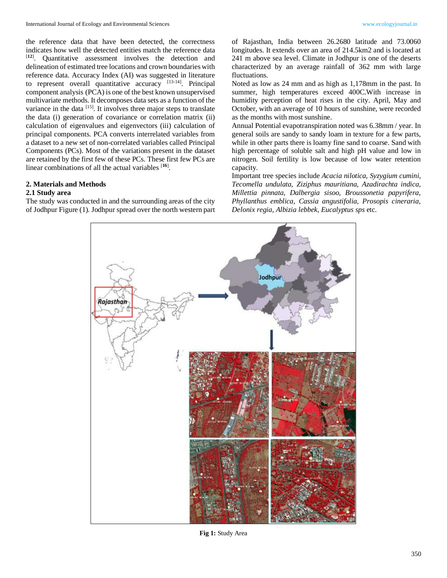the reference data that have been detected, the correctness indicates how well the detected entities match the reference data [**12**] . Quantitative assessment involves the detection and delineation of estimated tree locations and crown boundaries with reference data. Accuracy Index (AI) was suggested in literature to represent overall quantitative accuracy [13-14]. Principal component analysis (PCA) is one of the best known unsupervised multivariate methods. It decomposes data sets as a function of the variance in the data  $[15]$ . It involves three major steps to translate the data (i) generation of covariance or correlation matrix (ii) calculation of eigenvalues and eigenvectors (iii) calculation of principal components. PCA converts interrelated variables from a dataset to a new set of non-correlated variables called Principal Components (PCs). Most of the variations present in the dataset are retained by the first few of these PCs. These first few PCs are linear combinations of all the actual variables [**16**] .

## **2. Materials and Methods**

## **2.1 Study area**

The study was conducted in and the surrounding areas of the city of Jodhpur Figure (1). Jodhpur spread over the north western part

of Rajasthan, India between 26.2680 latitude and 73.0060 longitudes. It extends over an area of 214.5km2 and is located at 241 m above sea level. Climate in Jodhpur is one of the deserts characterized by an average rainfall of 362 mm with large fluctuations.

Noted as low as 24 mm and as high as 1,178mm in the past. In summer, high temperatures exceed 400C.With increase in humidity perception of heat rises in the city. April, May and October, with an average of 10 hours of sunshine, were recorded as the months with most sunshine.

Annual Potential evapotranspiration noted was 6.38mm / year. In general soils are sandy to sandy loam in texture for a few parts, while in other parts there is loamy fine sand to coarse. Sand with high percentage of soluble salt and high pH value and low in nitrogen. Soil fertility is low because of low water retention capacity.

Important tree species include *Acacia nilotica, Syzygium cumini, Tecomella undulata, Ziziphus mauritiana, Azadirachta indica, Millettia pinnata, Dalbergia sisoo, Broussonetia papyrifera, Phyllanthus emblica, Cassia angustifolia, Prosopis cineraria, Delonix regia, Albizia lebbek, Eucalyptus sps* etc.



**Fig 1:** Study Area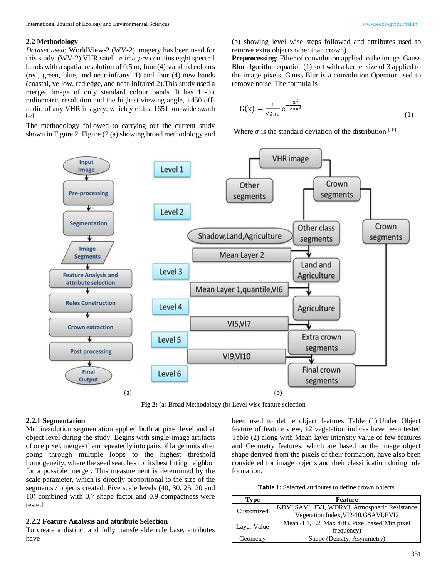#### **2.2 Methodology**

*Dataset used:* WorldView-2 (WV-2) imagery has been used for this study. (WV-2) VHR satellite imagery contains eight spectral bands with a spatial resolution of 0.5 m; four (4) standard colours (red, green, blue, and near-infrared 1) and four (4) new bands (coastal, yellow, red edge, and near-infrared 2).This study used a merged image of only standard colour bands. It has 11-bit radiometric resolution and the highest viewing angle,  $\pm 450$  offnadir, of any VHR imagery, which yields a 1651 km-wide swath [17] .

The methodology followed to carrying out the current study shown in Figure 2. Figure (2 (a) showing broad methodology and

(b) showing level wise steps followed and attributes used to remove extra objects other than crown)

**Preprocessing:** Filter of convolution applied to the image. Gauss Blur algorithm equation (1) sort with a kernel size of 3 applied to the image pixels. Gauss Blur is a convolution Operator used to remove noise. The formula is

$$
G(x) = \frac{1}{\sqrt{2\pi}\sigma} e^{-\frac{x^2}{2\sigma x^2}}
$$
 (1)

Where  $\sigma$  is the standard deviation of the distribution  $^{[18]}$ .



**Fig 2:** (a) Broad Methodology (b) Level wise feature selection

#### **2.2.1 Segmentation**

Multiresolution segmentation applied both at pixel level and at object level during the study. Begins with single-image artifacts of one pixel, merges them repeatedly into pairs of large units after going through multiple loops to the highest threshold homogeneity, where the seed searches for its best fitting neighbor for a possible merger. This measurement is determined by the scale parameter, which is directly proportional to the size of the segments / objects created. Five scale levels (40, 30, 25, 20 and 10) combined with 0.7 shape factor and 0.9 compactness were tested.

### **2.2.2 Feature Analysis and attribute Selection**

To create a distinct and fully transferable rule base, attributes have

been used to define object features Table (1).Under Object feature of feature view, 12 vegetation indices have been tested Table (2) along with Mean layer intensity value of few features and Geometry features, which are based on the image object shape derived from the pixels of their formation, have also been considered for image objects and their classification during rule formation.

**Table 1:** Selected attributes to define crown objects

| <b>Type</b> | Feature                                          |
|-------------|--------------------------------------------------|
| Customized  | NDVI, SAVI, TVI, WDRVI, Atmospheric Resistance   |
|             | Vegetation Index, VI2-10, GSAVI, EVI2            |
|             | Mean (L1, L2, Max diff), Pixel based (Min pixel) |
| Layer Value | frequency)                                       |
| Geometry    | Shape (Density, Asymmetry)                       |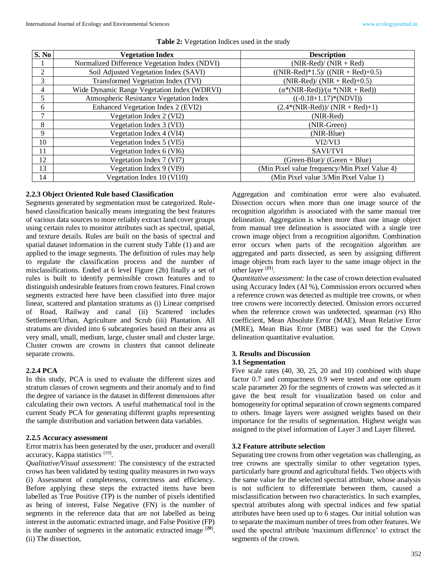| S. No          | <b>Vegetation Index</b>                       | <b>Description</b>                            |
|----------------|-----------------------------------------------|-----------------------------------------------|
|                | Normalized Difference Vegetation Index (NDVI) | $(NIR-Red)/(NIR+Red)$                         |
| $\mathfrak{D}$ | Soil Adjusted Vegetation Index (SAVI)         | $(NIR-Red)*1.5)/(NIR+Red)+0.5)$               |
| 3              | Transformed Vegetation Index (TVI)            | $(NIR-Red)/(NIR+Red)+0.5)$                    |
| 4              | Wide Dynamic Range Vegetation Index (WDRVI)   | $(\alpha^*(NIR-Red))/(\alpha^*(NIR+Red))$     |
| 5              | Atmospheric Resistance Vegetation Index       | $((-0.18+1.17)*(NDVI))$                       |
| 6              | Enhanced Vegetation Index 2 (EVI2)            | $(2.4*(NIR-Red))/(NIR + Red)+1)$              |
| 7              | Vegetation Index 2 (VI2)                      | (NIR-Red)                                     |
| 8              | Vegetation Index 3 (VI3)                      | (NIR-Green)                                   |
| 9              | Vegetation Index 4 (VI4)                      | (NIR-Blue)                                    |
| 10             | Vegetation Index 5 (VI5)                      | VI2/VI3                                       |
| 11             | Vegetation Index 6 (VI6)                      | SAVI/TVI                                      |
| 12             | Vegetation Index 7 (VI7)                      | $(Green-Blue) / (Green + Blue)$               |
| 13             | Vegetation Index 9 (VI9)                      | (Min Pixel value frequency/Min Pixel Value 4) |
| 14             | Vegetation Index 10 (VI10)                    | (Min Pixel value 3/Min Pixel Value 1)         |

#### **Table 2:** Vegetation Indices used in the study

## **2.2.3 Object Oriented Rule based Classification**

Segments generated by segmentation must be categorized. Rulebased classification basically means integrating the best features of various data sources to more reliably extract land cover groups using certain rules to monitor attributes such as spectral, spatial, and texture details. Rules are built on the basis of spectral and spatial dataset information in the current study Table (1) and are applied to the image segments. The definition of rules may help to regulate the classification process and the number of misclassifications. Ended at 6 level Figure (2b) finally a set of rules is built to identify permissible crown features and to distinguish undesirable features from crown features. Final crown segments extracted here have been classified into three major linear, scattered and plantation stratums as (i) Linear comprised of Road, Railway and canal (ii) Scattered includes Settlement/Urban, Agriculture and Scrub (iii) Plantation. All stratums are divided into 6 subcategories based on their area as very small, small, medium, large, cluster small and cluster large. Cluster crowns are crowns in clusters that cannot delineate separate crowns.

## **2.2.4 PCA**

In this study, PCA is used to evaluate the different sizes and stratum classes of crown segments and their anomaly and to find the degree of variance in the dataset in different dimensions after calculating their own vectors. A useful mathematical tool in the current Study PCA for generating different graphs representing the sample distribution and variation between data variables.

## **2.2.5 Accuracy assessment**

Error matrix has been generated by the user, producer and overall accuracy, Kappa statistics [19].

*Qualitative/Visual assessment:* The consistency of the extracted crows has been validated by testing quality measures in two ways (i) Assessment of completeness, correctness and efficiency. Before applying these steps the extracted items have been labelled as True Positive (TP) is the number of pixels identified as being of interest, False Negative (FN) is the number of segments in the reference data that are not labelled as being interest in the automatic extracted image, and False Positive (FP) is the number of segments in the automatic extracted image  $[20]$ . (ii) The dissection,

Aggregation and combination error were also evaluated. Dissection occurs when more than one image source of the recognition algorithm is associated with the same manual tree delineation. Aggregation is when more than one image object from manual tree delineation is associated with a single tree crown image object from a recognition algorithm. Combination error occurs when parts of the recognition algorithm are aggregated and parts dissected, as seen by assigning different image objects from each layer to the same image object in the other layer [**21**] .

*Quantitative assessment:* In the case of crown detection evaluated using Accuracy Index (AI %), Commission errors occurred when a reference crown was detected as multiple tree crowns, or when tree crowns were incorrectly detected. Omission errors occurred when the reference crown was undetected. spearman (*rs*) Rho coefficient, Mean Absolute Error (MAE), Mean Relative Error (MRE), Mean Bias Error (MBE) was used for the Crown delineation quantitative evaluation.

### **3. Results and Discussion 3.1 Segmentation**

Five scale rates (40, 30, 25, 20 and 10) combined with shape factor 0.7 and compactness 0.9 were tested and one optimum scale parameter 20 for the segments of crowns was selected as it gave the best result for visualization based on color and homogeneity for optimal separation of crown segments compared to others. Image layers were assigned weights based on their importance for the results of segmentation. Highest weight was assigned to the pixel information of Layer 3 and Layer filtered.

#### **3.2 Feature attribute selection**

Separating tree crowns from other vegetation was challenging, as tree crowns are spectrally similar to other vegetation types, particularly bare ground and agricultural fields. Two objects with the same value for the selected spectral attribute, whose analysis is not sufficient to differentiate between them, caused a misclassification between two characteristics. In such examples, spectral attributes along with spectral indices and few spatial attributes have been used up to 6 stages. Our initial solution was to separate the maximum number of trees from other features. We used the spectral attribute 'maximum difference' to extract the segments of the crown.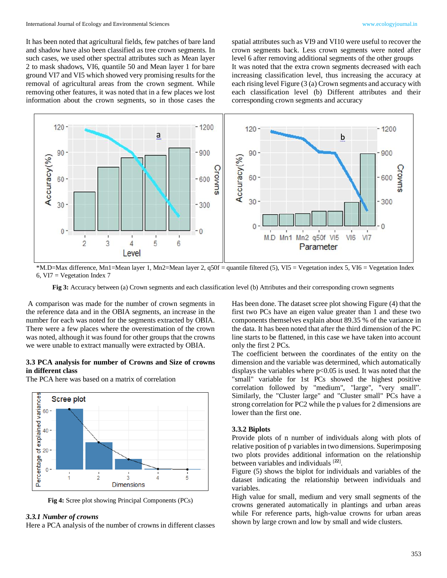It has been noted that agricultural fields, few patches of bare land and shadow have also been classified as tree crown segments. In such cases, we used other spectral attributes such as Mean layer 2 to mask shadows, VI6, quantile 50 and Mean layer 1 for bare ground VI7 and VI5 which showed very promising results for the removal of agricultural areas from the crown segment. While removing other features, it was noted that in a few places we lost information about the crown segments, so in those cases the

spatial attributes such as VI9 and VI10 were useful to recover the crown segments back. Less crown segments were noted after level 6 after removing additional segments of the other groups It was noted that the extra crown segments decreased with each increasing classification level, thus increasing the accuracy at each rising level Figure (3 (a) Crown segments and accuracy with each classification level (b) Different attributes and their corresponding crown segments and accuracy



\*M.D=Max difference, Mn1=Mean layer 1, Mn2=Mean layer 2, q50f = quantile filtered (5), VI5 = Vegetation index 5, VI6 = Vegetation Index 6, VI7 = Vegetation Index 7

**Fig 3:** Accuracy between (a) Crown segments and each classification level (b) Attributes and their corresponding crown segments

A comparison was made for the number of crown segments in the reference data and in the OBIA segments, an increase in the number for each was noted for the segments extracted by OBIA. There were a few places where the overestimation of the crown was noted, although it was found for other groups that the crowns we were unable to extract manually were extracted by OBIA.

#### **3.3 PCA analysis for number of Crowns and Size of crowns in different class**

The PCA here was based on a matrix of correlation



**Fig 4:** Scree plot showing Principal Components (PCs)

#### *3.3.1 Number of crowns*

Here a PCA analysis of the number of crowns in different classes

Has been done. The dataset scree plot showing Figure (4) that the first two PCs have an eigen value greater than 1 and these two components themselves explain about 89.35 % of the variance in the data. It has been noted that after the third dimension of the PC line starts to be flattened, in this case we have taken into account only the first 2 PCs.

The coefficient between the coordinates of the entity on the dimension and the variable was determined, which automatically displays the variables where  $p<0.05$  is used. It was noted that the "small" variable for 1st PCs showed the highest positive correlation followed by "medium", "large", "very small". Similarly, the "Cluster large" and "Cluster small" PCs have a strong correlation for PC2 while the p values for 2 dimensions are lower than the first one.

#### **3.3.2 Biplots**

Provide plots of n number of individuals along with plots of relative position of p variables in two dimensions. Superimposing two plots provides additional information on the relationship between variables and individuals [**22**] .

Figure (5) shows the biplot for individuals and variables of the dataset indicating the relationship between individuals and variables.

High value for small, medium and very small segments of the crowns generated automatically in plantings and urban areas while For reference parts, high-value crowns for urban areas shown by large crown and low by small and wide clusters.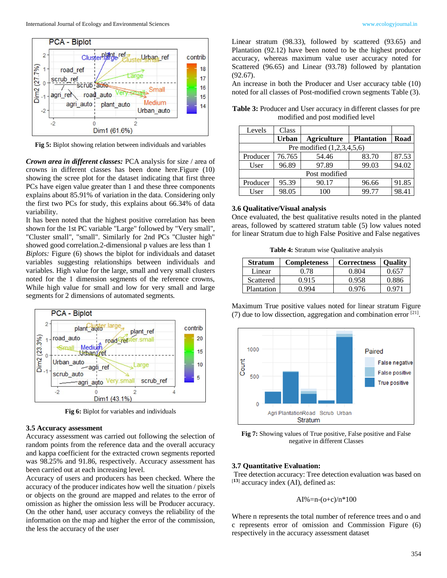



**Fig 5:** Biplot showing relation between individuals and variables

*Crown area in different classes:* PCA analysis for size / area of crowns in different classes has been done here.Figure (10) showing the scree plot for the dataset indicating that first three PCs have eigen value greater than 1 and these three components explains about 85.91% of variation in the data. Considering only the first two PCs for study, this explains about 66.34% of data variability.

It has been noted that the highest positive correlation has been shown for the 1st PC variable "Large" followed by "Very small", "Cluster small", "small". Similarly for 2nd PCs "Cluster high" showed good correlation.2-dimensional p values are less than 1 *Biplots:* Figure (6) shows the biplot for individuals and dataset variables suggesting relationships between individuals and variables. High value for the large, small and very small clusters noted for the 1 dimension segments of the reference crowns, While high value for small and low for very small and large segments for 2 dimensions of automated segments.



**Fig 6:** Biplot for variables and individuals

#### **3.5 Accuracy assessment**

Accuracy assessment was carried out following the selection of random points from the reference data and the overall accuracy and kappa coefficient for the extracted crown segments reported was 98.25% and 91.86, respectively. Accuracy assessment has been carried out at each increasing level.

Accuracy of users and producers has been checked. Where the accuracy of the producer indicates how well the situation / pixels or objects on the ground are mapped and relates to the error of omission as higher the omission less will be Producer accuracy. On the other hand, user accuracy conveys the reliability of the information on the map and higher the error of the commission, the less the accuracy of the user

Linear stratum (98.33), followed by scattered (93.65) and Plantation (92.12) have been noted to be the highest producer accuracy, whereas maximum value user accuracy noted for Scattered (96.65) and Linear (93.78) followed by plantation (92.67).

An increase in both the Producer and User accuracy table (10) noted for all classes of Post-modified crown segments Table (3).

**Table 3:** Producer and User accuracy in different classes for pre modified and post modified level

| Levels                       | Class        |                    |                   |       |  |  |
|------------------------------|--------------|--------------------|-------------------|-------|--|--|
|                              | <b>Urban</b> | <b>Agriculture</b> | <b>Plantation</b> | Road  |  |  |
| Pre modified $(1,2,3,4,5,6)$ |              |                    |                   |       |  |  |
| Producer                     | 76.765       | 54.46              | 83.70             | 87.53 |  |  |
| User                         | 96.89        | 97.89              | 99.03             | 94.02 |  |  |
| Post modified                |              |                    |                   |       |  |  |
| Producer                     | 95.39        | 90.17              | 96.66             | 91.85 |  |  |
| User                         | 98.05        | 100                | 99.77             | 98.41 |  |  |

#### **3.6 Qualitative/Visual analysis**

Once evaluated, the best qualitative results noted in the planted areas, followed by scattered stratum table (5) low values noted for linear Stratum due to high False Positive and False negatives

**Table 4:** Stratum wise Qualitative analysis

| <b>Stratum</b> | <b>Completeness</b> | <b>Correctness</b> | <b>Ouality</b> |
|----------------|---------------------|--------------------|----------------|
| Linear         | 0.78                | 0.804              | 0.657          |
| Scattered      | 0.915               | 0.958              | 0.886          |
| Plantation     | n 994               | 0 976              | 0. 97°         |

Maximum True positive values noted for linear stratum Figure (7) due to low dissection, aggregation and combination error  $[21]$ .



**Fig 7:** Showing values of True positive, False positive and False negative in different Classes

#### **3.7 Quantitative Evaluation:**

Tree detection accuracy: Tree detection evaluation was based on [**13**] accuracy index (AI), defined as:

#### AI%=n-(o+c)/n\*100

Where n represents the total number of reference trees and o and c represents error of omission and Commission Figure (6) respectively in the accuracy assessment dataset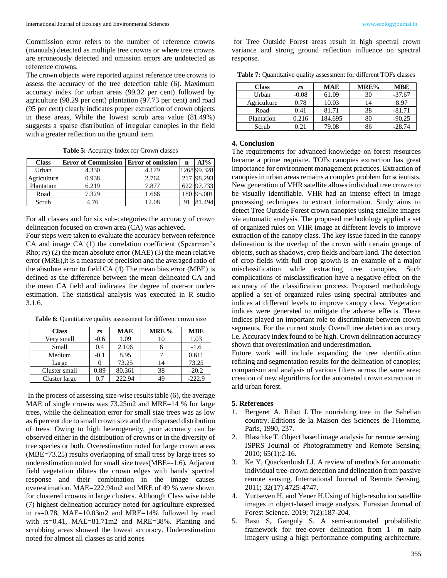Commission error refers to the number of reference crowns (manuals) detected as multiple tree crowns or where tree crowns are erroneously detected and omission errors are undetected as reference crowns.

The crown objects were reported against reference tree crowns to assess the accuracy of the tree detection table (6). Maximum accuracy index for urban areas (99.32 per cent) followed by agriculture (98.29 per cent) plantation (97.73 per cent) and road (95 per cent) clearly indicates proper extraction of crown objects in these areas, While the lowest scrub area value (81.49%) suggests a sparse distribution of irregular canopies in the field with a greater reflection on the ground item

**Table 5:** Accuracy Index for Crown classes

| <b>Class</b> | <b>Error of Commission   Error of omission</b> |       | n    | AI%         |
|--------------|------------------------------------------------|-------|------|-------------|
| Urban        | 4.330                                          | 4.179 |      | 1268 99.328 |
| Agriculture  | 0.938                                          | 2.764 | 2.17 | 98.293      |
| Plantation   | 6.219                                          | 7.877 |      | 622 97.733  |
| Road         | 7.329                                          | 1.666 |      | 95.001      |
| Scrub        | 4.76                                           | 12.08 |      |             |

For all classes and for six sub-categories the accuracy of crown delineation focused on crown area (CA) was achieved.

Four steps were taken to evaluate the accuracy between reference CA and image CA (1) the correlation coefficient (Spearman's Rho; *rs*) (2) the mean absolute error (MAE) (3) the mean relative error (MRE),it is a measure of precision and the averaged ratio of the absolute error to field CA (4) The mean bias error (MBE) is defined as the difference between the mean delineated CA and the mean CA field and indicates the degree of over-or underestimation. The statistical analysis was executed in R studio 3.1.6.

Table 6: Quantitative quality assessment for different crown size

| <b>Class</b>  | rs     | <b>MAE</b> | MRE % | <b>MBE</b> |
|---------------|--------|------------|-------|------------|
| Very small    | $-0.6$ | 1.09       | 10    | 1.03       |
| Small         | 0.4    | 2.106      |       | $-1.6$     |
| Medium        | $-0.1$ | 8.95       |       | 0.611      |
| Large         |        | 73.25      | 14    | 73.25      |
| Cluster small | 0.89   | 80.361     | 38    | $-20.2$    |
| Cluster large | 0.7    | 222.94     | 49    | $-222.9$   |

In the process of assessing size-wise results table (6), the average MAE of single crowns was 73.25m2 and MRE=14 % for large trees, while the delineation error for small size trees was as low as 6 percent due to small crown size and the dispersed distribution of trees. Owing to high heterogeneity, poor accuracy can be observed either in the distribution of crowns or in the diversity of tree species or both. Overestimation noted for large crown areas (MBE=73.25) results overlapping of small tress by large trees so underestimation noted for small size trees(MBE=-1.6). Adjacent field vegetation dilutes the crown edges with bands' spectral response and their combination in the image causes overestimation. MAE=222.94m2 and MRE of 49 % were shown for clustered crowns in large clusters. Although Class wise table (7) highest delineation accuracy noted for agriculture expressed in rs=0.78, MAE=10.03m2 and MRE=14% followed by road with rs=0.41, MAE=81.71m2 and MRE=38%. Planting and scrubbing areas showed the lowest accuracy. Underestimation noted for almost all classes as arid zones

for Tree Outside Forest areas result in high spectral crown variance and strong ground reflection influence on spectral response.

**Table 7:** Quantitative quality assessment for different TOFs classes

| <b>Class</b> | rs      | <b>MAE</b> | MRE% | <b>MBE</b> |
|--------------|---------|------------|------|------------|
| Urban        | $-0.08$ | 61.09      | 30   | $-37.67$   |
| Agriculture  | 0.78    | 10.03      | 14   | 8.97       |
| Road         | 0.41    | 81.71      | 38   | $-81.71$   |
| Plantation   | 0.216   | 184.695    | 80   | $-90.25$   |
| Scrub        | 0.21    | 79.08      | 86   | $-28.74$   |

#### **4. Conclusion**

The requirements for advanced knowledge on forest resources became a prime requisite. TOFs canopies extraction has great importance for environment management practices. Extraction of canopies in urban areas remains a complex problem for scientists. New generation of VHR satellite allows individual tree crowns to be visually identifiable. VHR had an intense effect in image processing techniques to extract information. Study aims to detect Tree Outside Forest crown canopies using satellite images via automatic analysis. The proposed methodology applied a set of organized rules on VHR image at different levels to improve extraction of the canopy class. The key issue faced in the canopy delineation is the overlap of the crown with certain groups of objects, such as shadows, crop fields and bare land. The detection of crop fields with full crop growth is an example of a major misclassification while extracting tree canopies. Such complications of misclassification have a negative effect on the accuracy of the classification process. Proposed methodology applied a set of organized rules using spectral attributes and indices at different levels to improve canopy class. Vegetation indices were generated to mitigate the adverse effects. These indices played an important role to discriminate between crown segments. For the current study Overall tree detection accuracy i.e. Accuracy index found to be high. Crown delineation accuracy shown that overestimation and underestimation.

Future work will include expanding the tree identification refining and segmentation results for the delineation of canopies; comparison and analysis of various filters across the same area; creation of new algorithms for the automated crown extraction in arid urban forest.

#### **5. References**

- 1. Bergeret A, Ribot J. The nourishing tree in the Sahelian country. Editions de la Maison des Sciences de l'Homme, Paris, 1990, 237.
- 2. Blaschke T. Object based image analysis for remote sensing. ISPRS Journal of Photogrammetry and Remote Sensing, 2010; 65(1):2-16.
- 3. Ke Y, Quackenbush LJ. A review of methods for automatic individual tree-crown detection and delineation from passive remote sensing. International Journal of Remote Sensing, 2011; 32(17):4725-4747.
- 4. Yurtseven H, and Yener H.Using of high-resolution satellite images in object-based image analysis. Eurasian Journal of Forest Science. 2019; 7(2):187-204.
- 5. Basu S, Ganguly S. A semi-automated probabilistic framework for tree-cover delineation from 1- m naip imagery using a high performance computing architecture.